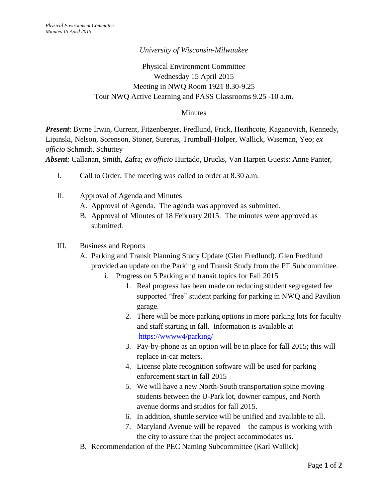## *University of Wisconsin-Milwaukee*

## Physical Environment Committee Wednesday 15 April 2015 Meeting in NWQ Room 1921 8.30-9.25 Tour NWQ Active Learning and PASS Classrooms 9.25 -10 a.m.

## **Minutes**

*Present*: Byrne Irwin, Current, Fitzenberger, Fredlund, Frick, Heathcote, Kaganovich, Kennedy, Lipinski, Nelson, Sorenson, Stoner, Surerus, Trumbull-Holper, Wallick, Wiseman, Yeo; *ex officio* Schmidt, Schuttey

*Absent:* Callanan, Smith, Zafra; *ex officio* Hurtado, Brucks, Van Harpen Guests: Anne Panter,

- I. Call to Order. The meeting was called to order at 8.30 a.m.
- II. Approval of Agenda and Minutes
	- A. Approval of Agenda. The agenda was approved as submitted.
	- B. Approval of Minutes of 18 February 2015. The minutes were approved as submitted.

## III. Business and Reports

- A. Parking and Transit Planning Study Update (Glen Fredlund). Glen Fredlund provided an update on the Parking and Transit Study from the PT Subcommittee.
	- i. Progress on 5 Parking and transit topics for Fall 2015
		- 1. Real progress has been made on reducing student segregated fee supported "free" student parking for parking in NWQ and Pavilion garage.
		- 2. There will be more parking options in more parking lots for faculty and staff starting in fall. Information is available at <https://wwww4/parking/>
		- 3. Pay-by-phone as an option will be in place for fall 2015; this will replace in-car meters.
		- 4. License plate recognition software will be used for parking enforcement start in fall 2015
		- 5. We will have a new North-South transportation spine moving students between the U-Park lot, downer campus, and North avenue dorms and studios for fall 2015.
		- 6. In addition, shuttle service will be unified and available to all.
		- 7. Maryland Avenue will be repaved the campus is working with the city to assure that the project accommodates us.
- B. Recommendation of the PEC Naming Subcommittee (Karl Wallick)